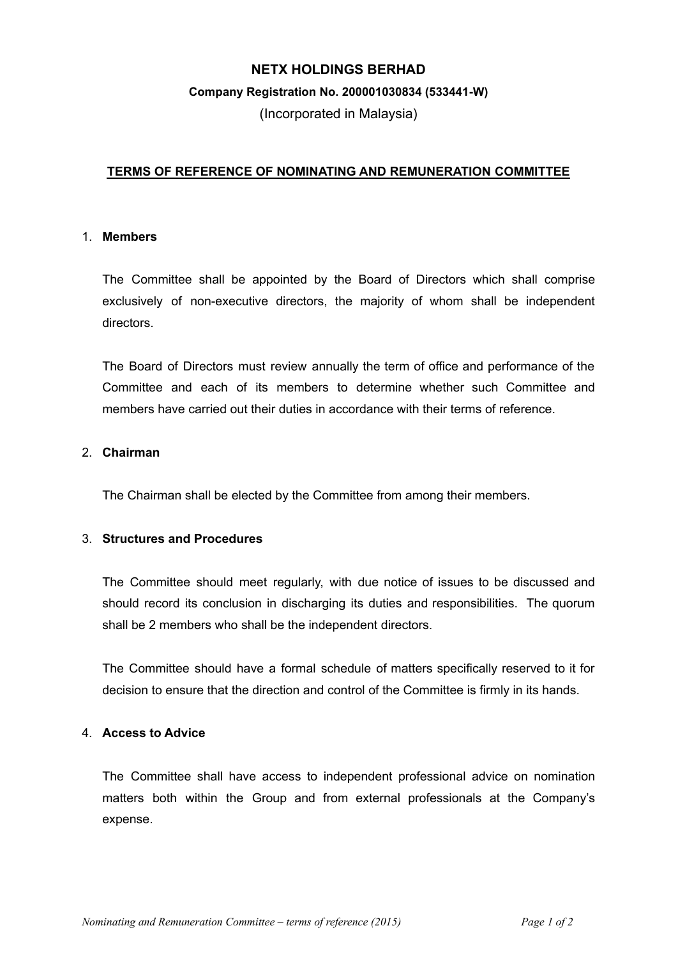# **NETX HOLDINGS BERHAD**

#### **Company Registration No. 200001030834 (533441-W)**

(Incorporated in Malaysia)

## **TERMS OF REFERENCE OF NOMINATING AND REMUNERATION COMMITTEE**

### 1. **Members**

The Committee shall be appointed by the Board of Directors which shall comprise exclusively of non-executive directors, the majority of whom shall be independent directors.

The Board of Directors must review annually the term of office and performance of the Committee and each of its members to determine whether such Committee and members have carried out their duties in accordance with their terms of reference.

### 2. **Chairman**

The Chairman shall be elected by the Committee from among their members.

## 3. **Structures and Procedures**

The Committee should meet regularly, with due notice of issues to be discussed and should record its conclusion in discharging its duties and responsibilities. The quorum shall be 2 members who shall be the independent directors.

The Committee should have a formal schedule of matters specifically reserved to it for decision to ensure that the direction and control of the Committee is firmly in its hands.

# 4. **Access to Advice**

The Committee shall have access to independent professional advice on nomination matters both within the Group and from external professionals at the Company's expense.